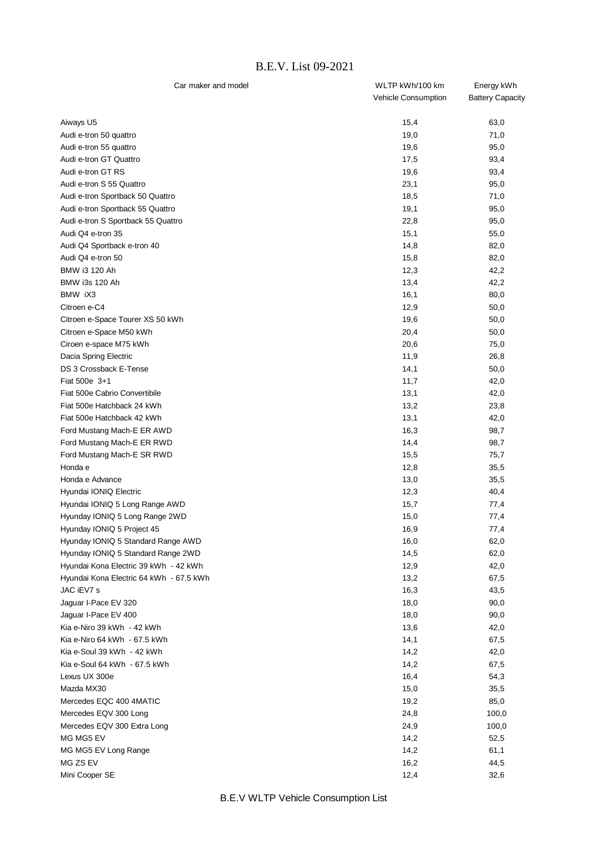## B.E.V. List 09-2021

| Car maker and model                     | WLTP kWh/100 km            | Energy kWh              |
|-----------------------------------------|----------------------------|-------------------------|
|                                         | <b>Vehicle Consumption</b> | <b>Battery Capacity</b> |
| Aiways U5                               | 15,4                       | 63,0                    |
| Audi e-tron 50 quattro                  | 19,0                       | 71,0                    |
| Audi e-tron 55 quattro                  | 19,6                       | 95,0                    |
| Audi e-tron GT Quattro                  | 17,5                       | 93,4                    |
| Audi e-tron GT RS                       | 19,6                       | 93,4                    |
| Audi e-tron S 55 Quattro                | 23,1                       | 95,0                    |
| Audi e-tron Sportback 50 Quattro        | 18,5                       | 71,0                    |
| Audi e-tron Sportback 55 Quattro        | 19,1                       | 95,0                    |
| Audi e-tron S Sportback 55 Quattro      | 22,8                       | 95,0                    |
| Audi Q4 e-tron 35                       | 15,1                       | 55,0                    |
| Audi Q4 Sportback e-tron 40             | 14,8                       | 82,0                    |
| Audi Q4 e-tron 50                       | 15,8                       | 82,0                    |
| BMW i3 120 Ah                           | 12,3                       | 42,2                    |
| BMW i3s 120 Ah                          | 13,4                       | 42,2                    |
| BMW iX3                                 | 16,1                       | 80,0                    |
| Citroen e-C4                            | 12,9                       | 50,0                    |
| Citroen e-Space Tourer XS 50 kWh        | 19,6                       | 50,0                    |
| Citroen e-Space M50 kWh                 | 20,4                       | 50,0                    |
| Ciroen e-space M75 kWh                  | 20,6                       | 75,0                    |
| Dacia Spring Electric                   | 11,9                       | 26,8                    |
| DS 3 Crossback E-Tense                  | 14,1                       | 50,0                    |
| Fiat 500e 3+1                           | 11,7                       | 42,0                    |
| Fiat 500e Cabrio Convertibile           | 13,1                       | 42,0                    |
| Fiat 500e Hatchback 24 kWh              | 13,2                       | 23,8                    |
| Fiat 500e Hatchback 42 kWh              | 13,1                       | 42,0                    |
| Ford Mustang Mach-E ER AWD              | 16,3                       | 98,7                    |
| Ford Mustang Mach-E ER RWD              | 14,4                       | 98,7                    |
| Ford Mustang Mach-E SR RWD              | 15,5                       | 75,7                    |
| Honda e                                 | 12,8                       | 35,5                    |
| Honda e Advance                         | 13,0                       | 35,5                    |
| Hyundai IONIQ Electric                  | 12,3                       | 40,4                    |
| Hyundai IONIQ 5 Long Range AWD          | 15,7                       | 77,4                    |
| Hyunday IONIQ 5 Long Range 2WD          | 15,0                       | 77,4                    |
| Hyunday IONIQ 5 Project 45              | 16,9                       | 77,4                    |
| Hyunday IONIQ 5 Standard Range AWD      | 16,0                       | 62,0                    |
| Hyunday IONIQ 5 Standard Range 2WD      | 14,5                       | 62,0                    |
| Hyundai Kona Electric 39 kWh - 42 kWh   | 12,9                       | 42,0                    |
| Hyundai Kona Electric 64 kWh - 67.5 kWh | 13,2                       | 67,5                    |
| JAC iEV7 s                              | 16,3                       | 43,5                    |
| Jaguar I-Pace EV 320                    | 18,0                       | 90,0                    |
| Jaquar I-Pace EV 400                    | 18,0                       | 90,0                    |
| Kia e-Niro 39 kWh - 42 kWh              | 13,6                       | 42,0                    |
| Kia e-Niro 64 kWh - 67.5 kWh            | 14,1                       | 67,5                    |
| Kia e-Soul 39 kWh - 42 kWh              | 14,2                       | 42,0                    |
| Kia e-Soul 64 kWh - 67.5 kWh            | 14,2                       | 67,5                    |
| Lexus UX 300e                           | 16,4                       | 54,3                    |
| Mazda MX30                              | 15,0                       | 35,5                    |
| Mercedes EQC 400 4MATIC                 | 19,2                       | 85,0                    |
| Mercedes EQV 300 Long                   | 24,8                       | 100,0                   |
| Mercedes EQV 300 Extra Long             | 24,9                       | 100,0                   |
| MG MG5 EV                               | 14,2                       | 52,5                    |
| MG MG5 EV Long Range                    | 14,2                       | 61,1                    |
| MG ZS EV                                | 16,2                       | 44,5                    |
| Mini Cooper SE                          | 12,4                       | 32,6                    |

B.E.V WLTP Vehicle Consumption List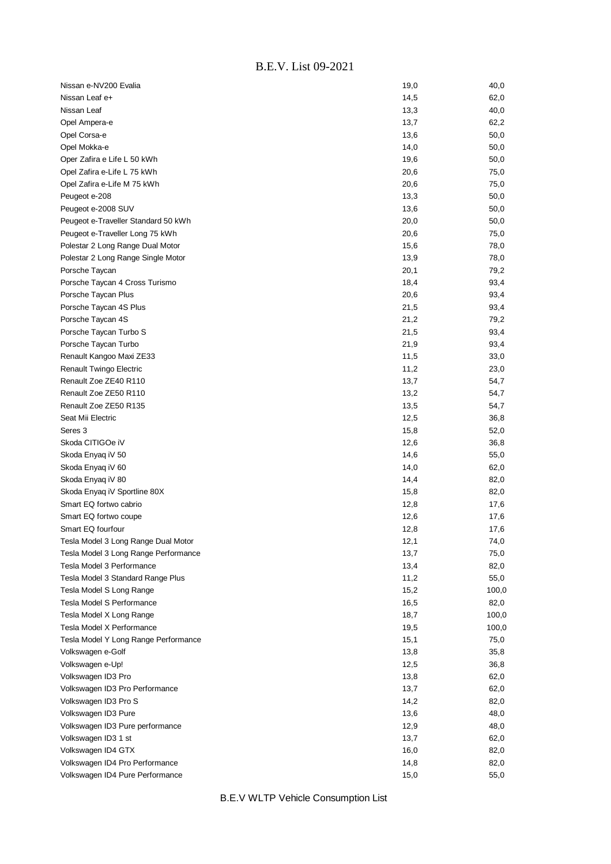| Nissan e-NV200 Evalia                | 19,0 | 40,0  |
|--------------------------------------|------|-------|
| Nissan Leaf e+                       | 14,5 | 62,0  |
| Nissan Leaf                          | 13,3 | 40,0  |
| Opel Ampera-e                        | 13,7 | 62,2  |
| Opel Corsa-e                         | 13,6 | 50,0  |
| Opel Mokka-e                         | 14,0 | 50,0  |
| Oper Zafira e Life L 50 kWh          | 19,6 | 50,0  |
| Opel Zafira e-Life L 75 kWh          | 20,6 | 75,0  |
| Opel Zafira e-Life M 75 kWh          | 20,6 | 75,0  |
| Peugeot e-208                        | 13,3 | 50,0  |
| Peugeot e-2008 SUV                   | 13,6 | 50,0  |
| Peugeot e-Traveller Standard 50 kWh  | 20,0 | 50,0  |
| Peugeot e-Traveller Long 75 kWh      | 20,6 | 75,0  |
| Polestar 2 Long Range Dual Motor     | 15,6 | 78,0  |
| Polestar 2 Long Range Single Motor   | 13,9 | 78,0  |
| Porsche Taycan                       | 20,1 | 79,2  |
| Porsche Taycan 4 Cross Turismo       | 18,4 | 93,4  |
| Porsche Taycan Plus                  | 20,6 | 93,4  |
| Porsche Taycan 4S Plus               | 21,5 | 93,4  |
| Porsche Taycan 4S                    | 21,2 | 79,2  |
| Porsche Taycan Turbo S               | 21,5 | 93,4  |
| Porsche Taycan Turbo                 | 21,9 | 93,4  |
| Renault Kangoo Maxi ZE33             | 11,5 | 33,0  |
| Renault Twingo Electric              | 11,2 | 23,0  |
| Renault Zoe ZE40 R110                | 13,7 | 54,7  |
| Renault Zoe ZE50 R110                | 13,2 | 54,7  |
| Renault Zoe ZE50 R135                | 13,5 | 54,7  |
| Seat Mii Electric                    | 12,5 | 36,8  |
| Seres 3                              | 15,8 | 52,0  |
| Skoda CITIGOe iV                     | 12,6 | 36,8  |
| Skoda Enyaq iV 50                    | 14,6 | 55,0  |
| Skoda Enyaq iV 60                    | 14,0 | 62,0  |
| Skoda Enyaq iV 80                    | 14,4 | 82,0  |
| Skoda Enyaq iV Sportline 80X         | 15,8 | 82,0  |
| Smart EQ fortwo cabrio               | 12,8 | 17,6  |
| Smart EQ fortwo coupe                | 12,6 | 17,6  |
| Smart EQ fourfour                    | 12,8 | 17,6  |
| Tesla Model 3 Long Range Dual Motor  | 12,1 | 74,0  |
| Tesla Model 3 Long Range Performance | 13,7 | 75,0  |
| Tesla Model 3 Performance            | 13,4 | 82,0  |
| Tesla Model 3 Standard Range Plus    | 11,2 | 55,0  |
| Tesla Model S Long Range             | 15,2 | 100,0 |
| Tesla Model S Performance            | 16,5 | 82,0  |
| Tesla Model X Long Range             | 18,7 | 100,0 |
| Tesla Model X Performance            | 19,5 | 100,0 |
| Tesla Model Y Long Range Performance | 15,1 | 75,0  |
| Volkswagen e-Golf                    | 13,8 | 35,8  |
| Volkswagen e-Up!                     | 12,5 | 36,8  |
| Volkswagen ID3 Pro                   | 13,8 | 62,0  |
| Volkswagen ID3 Pro Performance       | 13,7 | 62,0  |
| Volkswagen ID3 Pro S                 | 14,2 | 82,0  |
| Volkswagen ID3 Pure                  | 13,6 | 48,0  |
| Volkswagen ID3 Pure performance      | 12,9 | 48,0  |
| Volkswagen ID3 1 st                  | 13,7 | 62,0  |
| Volkswagen ID4 GTX                   | 16,0 | 82,0  |
| Volkswagen ID4 Pro Performance       | 14,8 | 82,0  |
| Volkswagen ID4 Pure Performance      | 15,0 | 55,0  |

B.E.V WLTP Vehicle Consumption List